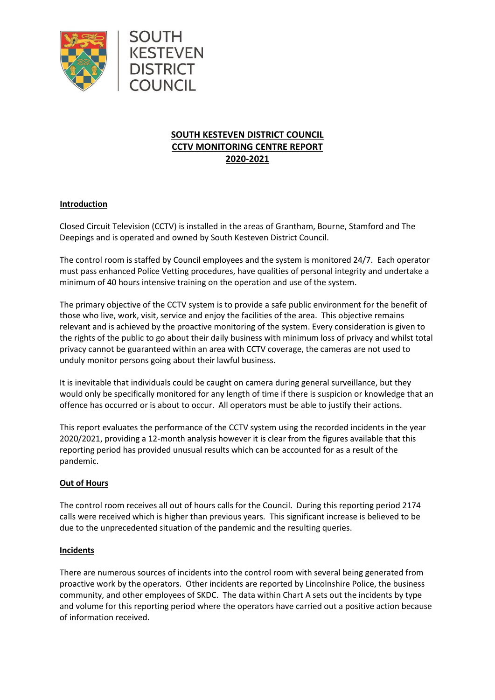

SOUTH

KESTEVEN

**DISTRICT COUNCIL** 

# **SOUTH KESTEVEN DISTRICT COUNCIL CCTV MONITORING CENTRE REPORT 2020-2021**

## **Introduction**

Closed Circuit Television (CCTV) is installed in the areas of Grantham, Bourne, Stamford and The Deepings and is operated and owned by South Kesteven District Council.

The control room is staffed by Council employees and the system is monitored 24/7. Each operator must pass enhanced Police Vetting procedures, have qualities of personal integrity and undertake a minimum of 40 hours intensive training on the operation and use of the system.

The primary objective of the CCTV system is to provide a safe public environment for the benefit of those who live, work, visit, service and enjoy the facilities of the area. This objective remains relevant and is achieved by the proactive monitoring of the system. Every consideration is given to the rights of the public to go about their daily business with minimum loss of privacy and whilst total privacy cannot be guaranteed within an area with CCTV coverage, the cameras are not used to unduly monitor persons going about their lawful business.

It is inevitable that individuals could be caught on camera during general surveillance, but they would only be specifically monitored for any length of time if there is suspicion or knowledge that an offence has occurred or is about to occur. All operators must be able to justify their actions.

This report evaluates the performance of the CCTV system using the recorded incidents in the year 2020/2021, providing a 12-month analysis however it is clear from the figures available that this reporting period has provided unusual results which can be accounted for as a result of the pandemic.

#### **Out of Hours**

The control room receives all out of hours calls for the Council. During this reporting period 2174 calls were received which is higher than previous years. This significant increase is believed to be due to the unprecedented situation of the pandemic and the resulting queries.

#### **Incidents**

There are numerous sources of incidents into the control room with several being generated from proactive work by the operators. Other incidents are reported by Lincolnshire Police, the business community, and other employees of SKDC. The data within Chart A sets out the incidents by type and volume for this reporting period where the operators have carried out a positive action because of information received.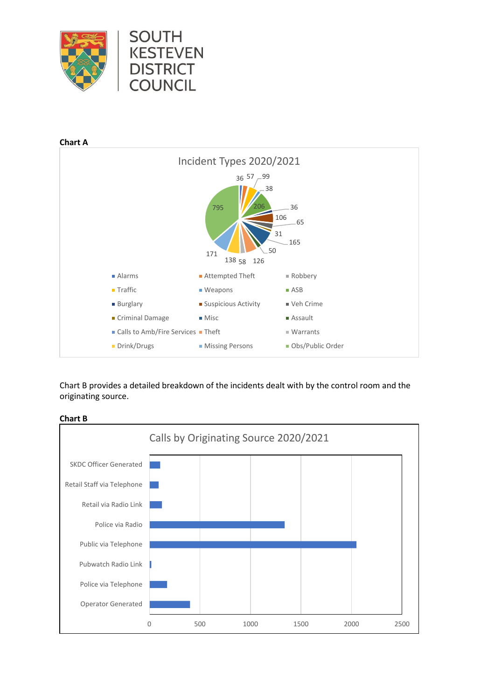



Chart B provides a detailed breakdown of the incidents dealt with by the control room and the originating source.



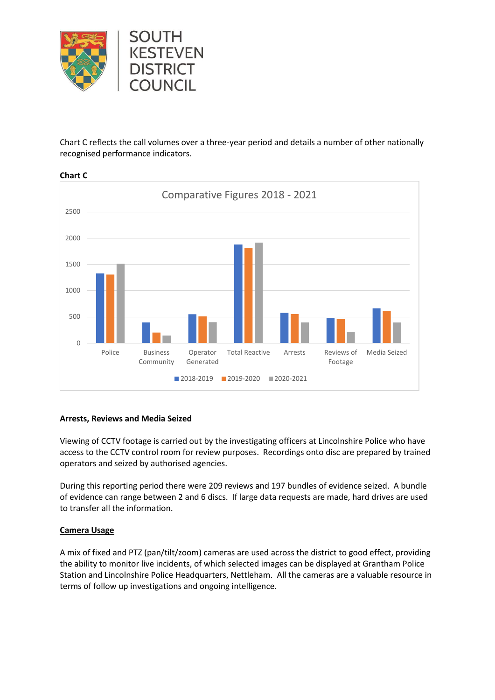

Chart C reflects the call volumes over a three-year period and details a number of other nationally recognised performance indicators.



**Chart C**

## **Arrests, Reviews and Media Seized**

Viewing of CCTV footage is carried out by the investigating officers at Lincolnshire Police who have access to the CCTV control room for review purposes. Recordings onto disc are prepared by trained operators and seized by authorised agencies.

During this reporting period there were 209 reviews and 197 bundles of evidence seized. A bundle of evidence can range between 2 and 6 discs. If large data requests are made, hard drives are used to transfer all the information.

## **Camera Usage**

A mix of fixed and PTZ (pan/tilt/zoom) cameras are used across the district to good effect, providing the ability to monitor live incidents, of which selected images can be displayed at Grantham Police Station and Lincolnshire Police Headquarters, Nettleham. All the cameras are a valuable resource in terms of follow up investigations and ongoing intelligence.